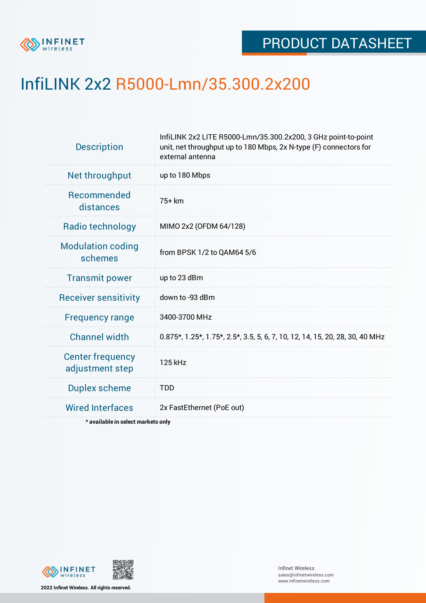

## InfiLINK 2x2 R5000-Lmn/35.300.2x200

| <b>Description</b>                         | InfiLINK 2x2 LITE R5000-Lmn/35.300.2x200, 3 GHz point-to-point<br>unit, net throughput up to 180 Mbps, 2x N-type (F) connectors for<br>external antenna |  |  |  |  |
|--------------------------------------------|---------------------------------------------------------------------------------------------------------------------------------------------------------|--|--|--|--|
| Net throughput                             | up to 180 Mbps                                                                                                                                          |  |  |  |  |
| <b>Recommended</b><br>distances            | 75+ km                                                                                                                                                  |  |  |  |  |
| Radio technology                           | MIMO 2x2 (OFDM 64/128)                                                                                                                                  |  |  |  |  |
| <b>Modulation coding</b><br>schemes        | from BPSK 1/2 to QAM64 5/6                                                                                                                              |  |  |  |  |
| <b>Transmit power</b>                      | up to 23 dBm                                                                                                                                            |  |  |  |  |
| <b>Receiver sensitivity</b>                | down to -93 dBm                                                                                                                                         |  |  |  |  |
| <b>Frequency range</b>                     | 3400-3700 MHz                                                                                                                                           |  |  |  |  |
| <b>Channel width</b>                       | 0.875*, 1.25*, 1.75*, 2.5*, 3.5, 5, 6, 7, 10, 12, 14, 15, 20, 28, 30, 40 MHz                                                                            |  |  |  |  |
| <b>Center frequency</b><br>adjustment step | 125 kHz                                                                                                                                                 |  |  |  |  |
| <b>Duplex scheme</b>                       | <b>TDD</b>                                                                                                                                              |  |  |  |  |
| <b>Wired Interfaces</b>                    | 2x FastEthernet (PoE out)                                                                                                                               |  |  |  |  |
| * available in select markets only         |                                                                                                                                                         |  |  |  |  |

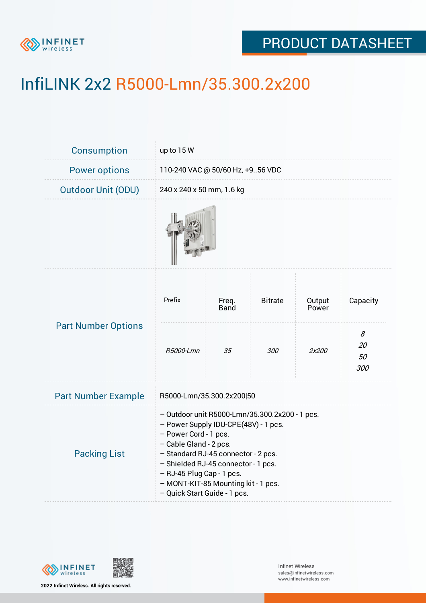

## PRODUCT DATASHEET

# InfiLINK 2x2 R5000-Lmn/35.300.2x200

| <b>Consumption</b>         | up to $15W$                                                                                                                                                                                                                                                                                                                 |               |                |                 |                      |  |
|----------------------------|-----------------------------------------------------------------------------------------------------------------------------------------------------------------------------------------------------------------------------------------------------------------------------------------------------------------------------|---------------|----------------|-----------------|----------------------|--|
| <b>Power options</b>       | 110-240 VAC @ 50/60 Hz, +956 VDC                                                                                                                                                                                                                                                                                            |               |                |                 |                      |  |
| <b>Outdoor Unit (ODU)</b>  | 240 x 240 x 50 mm, 1.6 kg                                                                                                                                                                                                                                                                                                   |               |                |                 |                      |  |
|                            |                                                                                                                                                                                                                                                                                                                             |               |                |                 |                      |  |
| <b>Part Number Options</b> | Prefix                                                                                                                                                                                                                                                                                                                      | Freq.<br>Band | <b>Bitrate</b> | Output<br>Power | Capacity             |  |
|                            | R5000-Lmn                                                                                                                                                                                                                                                                                                                   | 35            | <i>300</i>     | 2x200           | 8<br>20<br>50<br>300 |  |
| <b>Part Number Example</b> | R5000-Lmn/35.300.2x200 50                                                                                                                                                                                                                                                                                                   |               |                |                 |                      |  |
| <b>Packing List</b>        | - Outdoor unit R5000-Lmn/35.300.2x200 - 1 pcs.<br>- Power Supply IDU-CPE(48V) - 1 pcs.<br>- Power Cord - 1 pcs.<br>- Cable Gland - 2 pcs.<br>- Standard RJ-45 connector - 2 pcs.<br>- Shielded RJ-45 connector - 1 pcs.<br>- RJ-45 Plug Cap - 1 pcs.<br>- MONT-KIT-85 Mounting kit - 1 pcs.<br>- Quick Start Guide - 1 pcs. |               |                |                 |                      |  |



**2022 Infinet Wireless. All rights reserved.**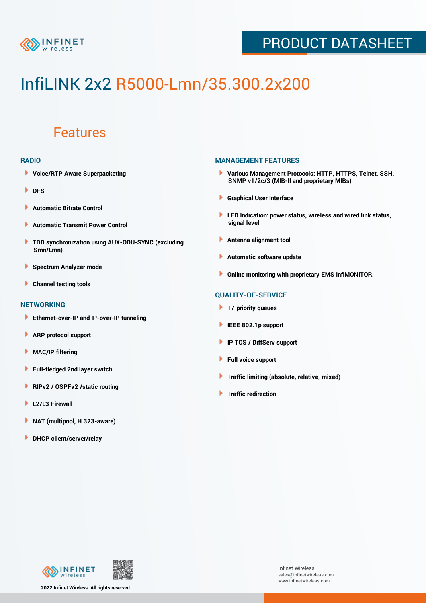

## PRODUCT DATASHEET

# InfiLINK 2x2 R5000-Lmn/35.300.2x200

### Features

#### **RADIO**

- **Voice/RTP Aware Superpacketing**
- **DFS**
- **Automatic Bitrate Control** Þ
- Þ **Automatic Transmit Power Control**
- ь **TDD synchronization using AUX-ODU-SYNC (excluding Smn/Lmn)**
- **Spectrum Analyzer mode** ۰
- **Channel testing tools** ١

#### **NETWORKING**

- **Ethernet-over-IP and IP-over-IP tunneling**
- Þ **ARP protocol support**
- ۱ **MAC/IP filtering**
- Þ **Full-fledged 2nd layer switch**
- Þ **RIPv2 / OSPFv2 /static routing**
- **L2/L3 Firewall** Þ
- **NAT (multipool, H.323-aware)** Þ
- Þ **DHCP client/server/relay**

#### **MANAGEMENT FEATURES**

- **Various Management Protocols: HTTP, HTTPS, Telnet, SSH, SNMP v1/2c/3 (MIB-II and proprietary MIBs)**
- **Graphical User Interface**
- **LED Indication: power status, wireless and wired link status, signal level**
- **Antenna alignment tool**
- ٠ **Automatic software update**
- **Online monitoring with proprietary EMS InfiMONITOR.**

#### **QUALITY-OF-SERVICE**

- **17 priority queues**
- **IEEE 802.1p support**
- **IP TOS / DiffServ support**
- ٠ **Full voice support**
- **Traffic limiting (absolute, relative, mixed)** ٠
- **Traffic redirection**